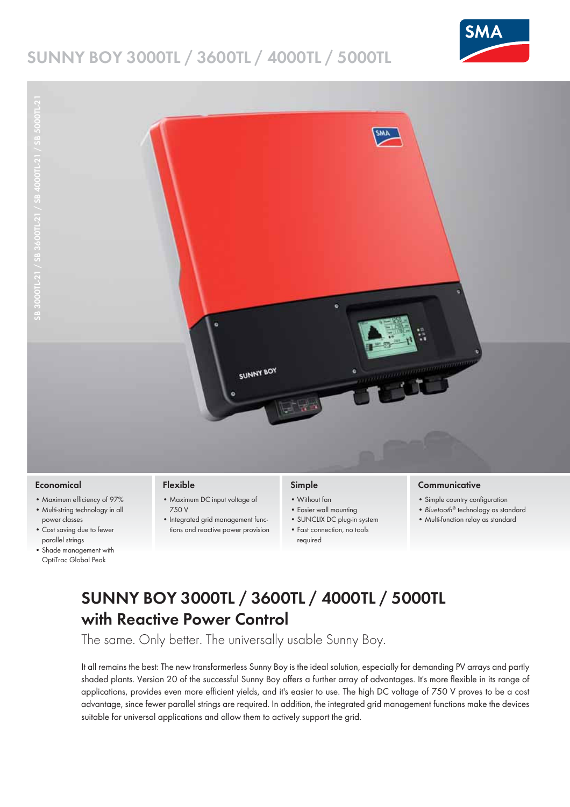## **SUNNY BOY 3000TL / 3600TL / 4000TL / 5000TL**





- **Economical**
- Maximum efficiency of 97%
- Multi-string technology in all power classes
- Cost saving due to fewer parallel strings
- Shade management with OptiTrac Global Peak

#### **Flexible**

- Maximum DC input voltage of 750 V
- Integrated grid management functions and reactive power provision

### **Simple**

required

- Without fan
- Easier wall mounting
- SUNCLIX DC plug-in system
- Fast connection, no tools
- **Communicative**
- Simple country configuration
- *Bluetooth®* technology as standard
- Multi-function relay as standard

# **SUNNY BOY 3000TL / 3600TL / 4000TL / 5000TL with Reactive Power Control**

The same. Only better. The universally usable Sunny Boy.

It all remains the best: The new transformerless Sunny Boy is the ideal solution, especially for demanding PV arrays and partly shaded plants. Version 20 of the successful Sunny Boy offers a further array of advantages. It's more flexible in its range of applications, provides even more efficient yields, and it's easier to use. The high DC voltage of 750 V proves to be a cost advantage, since fewer parallel strings are required. In addition, the integrated grid management functions make the devices suitable for universal applications and allow them to actively support the grid.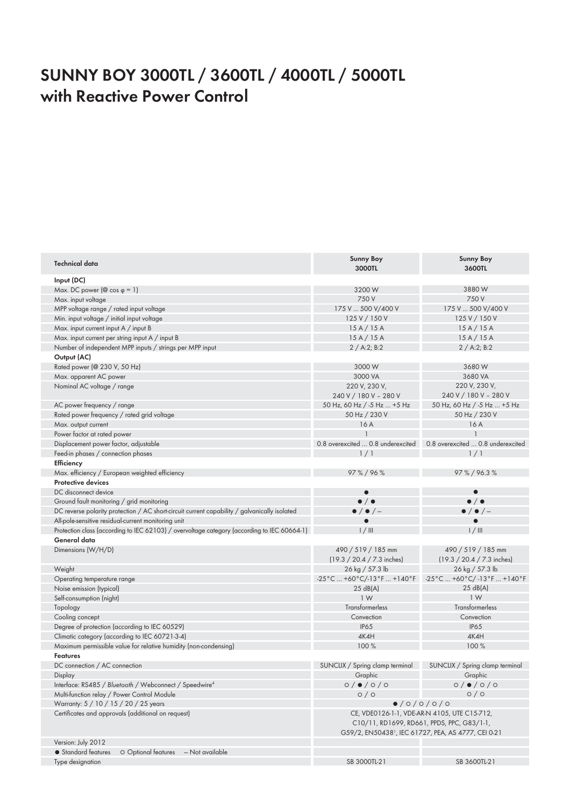### **SUNNY BOY 3000TL / 3600TL / 4000TL / 5000TL with Reactive Power Control**

| Technical data                                                                               | <b>Sunny Boy</b><br>3000TL                                         | <b>Sunny Boy</b><br>3600TL                                          |
|----------------------------------------------------------------------------------------------|--------------------------------------------------------------------|---------------------------------------------------------------------|
| Input (DC)                                                                                   |                                                                    |                                                                     |
| Max. DC power ( $\circledcirc$ cos $\circledcirc$ = 1)                                       | 3200W                                                              | 3880W                                                               |
| Max. input voltage                                                                           | 750 V                                                              | 750 V                                                               |
| MPP voltage range / rated input voltage                                                      | 175 V  500 V/400 V                                                 | 175 V  500 V/400 V                                                  |
| Min. input voltage / initial input voltage                                                   | 125 V / 150 V                                                      | 125 V / 150 V                                                       |
| Max. input current input A / input B                                                         | 15A/15A                                                            | 15A/15A                                                             |
| Max. input current per string input A / input B                                              | 15A/15A                                                            | 15A/15A                                                             |
| Number of independent MPP inputs / strings per MPP input                                     | 2 / A:2; B:2                                                       | 2 / A:2; B:2                                                        |
| Output (AC)                                                                                  |                                                                    |                                                                     |
| Rated power (@ 230 V, 50 Hz)                                                                 | 3000W                                                              | 3680W                                                               |
|                                                                                              |                                                                    |                                                                     |
| Max. apparent AC power                                                                       | 3000 VA                                                            | 3680 VA                                                             |
| Nominal AC voltage / range                                                                   | 220 V, 230 V,                                                      | 220 V, 230 V,                                                       |
|                                                                                              | 240 V / 180 V - 280 V                                              | 240 V / 180 V - 280 V                                               |
| AC power frequency / range                                                                   | 50 Hz, 60 Hz / -5 Hz  +5 Hz                                        | 50 Hz, 60 Hz / -5 Hz  +5 Hz                                         |
| Rated power frequency / rated grid voltage                                                   | 50 Hz / 230 V                                                      | 50 Hz / 230 V                                                       |
| Max. output current                                                                          | 16 A                                                               | 16 A                                                                |
| Power factor at rated power                                                                  |                                                                    | $\mathbf{1}$                                                        |
| Displacement power factor, adjustable                                                        |                                                                    | 0.8 overexcited  0.8 underexcited 0.8 overexcited  0.8 underexcited |
| Feed-in phases / connection phases                                                           | 1/1                                                                | 1/1                                                                 |
| Efficiency                                                                                   |                                                                    |                                                                     |
| Max. efficiency / European weighted efficiency                                               | 97%/96%                                                            | 97%/96.3%                                                           |
| <b>Protective devices</b>                                                                    |                                                                    |                                                                     |
| DC disconnect device                                                                         |                                                                    |                                                                     |
| Ground fault monitoring / grid monitoring                                                    | $\bullet$ / $\bullet$                                              | $\bullet$ / $\bullet$                                               |
| DC reverse polarity protection / AC short-circuit current capability / galvanically isolated | $\bullet$ / $\bullet$ / $-$                                        | $\bullet$ / $\bullet$ / $-$                                         |
| All-pole-sensitive residual-current monitoring unit                                          | $\bullet$                                                          | $\bullet$                                                           |
| Protection class (according to IEC 62103) / overvoltage category (according to IEC 60664-1)  | 1/111                                                              | 1/111                                                               |
| General data                                                                                 |                                                                    |                                                                     |
|                                                                                              |                                                                    |                                                                     |
| Dimensions (W/H/D)                                                                           | 490 / 519 / 185 mm                                                 | 490 / 519 / 185 mm                                                  |
|                                                                                              | (19.3 / 20.4 / 7.3 inches)                                         | $(19.3 / 20.4 / 7.3$ inches)                                        |
| Weight                                                                                       | 26 kg / 57.3 lb                                                    | 26 kg / 57.3 lb                                                     |
| Operating temperature range                                                                  |                                                                    | -25°C  +60°C/-13°F  +140°F -25°C  +60°C/-13°F  +140°F               |
| Noise emission (typical)                                                                     | 25 dB(A)                                                           | 25 dB(A)                                                            |
| Self-consumption (night)                                                                     | 1W                                                                 | 1 <sub>W</sub>                                                      |
| Topology                                                                                     | Transformerless                                                    | Transformerless                                                     |
| Cooling concept                                                                              | Convection                                                         | Convection                                                          |
| Degree of protection (according to IEC 60529)                                                | <b>IP65</b>                                                        | <b>IP65</b>                                                         |
| Climatic category (according to IEC 60721-3-4)                                               | 4K4H                                                               | 4K4H                                                                |
| Maximum permissible value for relative humidity (non-condensing)                             | 100 %                                                              | 100 %                                                               |
| <b>Features</b>                                                                              |                                                                    |                                                                     |
| DC connection / AC connection                                                                | SUNCLIX / Spring clamp terminal                                    | SUNCLIX / Spring clamp terminal                                     |
| Display                                                                                      | Graphic                                                            | Graphic                                                             |
| Interface: RS485 / Bluetooth / Webconnect / Speedwire <sup>4</sup>                           | $0/$ $($ $0/$ $)$                                                  | $0/$ $($ $0/$ $)$                                                   |
| Multi-function relay / Power Control Module                                                  | 0/0                                                                | O/O                                                                 |
| Warranty: 5 / 10 / 15 / 20 / 25 years                                                        |                                                                    |                                                                     |
| Certificates and approvals (additional on request)                                           | $\bullet$ /0/0/0/0<br>CE, VDE0126-1-1, VDE-AR-N 4105, UTE C15-712, |                                                                     |
|                                                                                              | C10/11, RD1699, RD661, PPDS, PPC, G83/1-1,                         |                                                                     |
|                                                                                              | G59/2, EN50438 <sup>1</sup> , IEC 61727, PEA, AS 4777, CEI 0-21    |                                                                     |
|                                                                                              |                                                                    |                                                                     |
| Version: July 2012                                                                           |                                                                    |                                                                     |
| • Standard features<br>O Optional features<br>- Not available                                |                                                                    |                                                                     |
| Type designation                                                                             | SB 3000TL-21                                                       | SB 3600TL-21                                                        |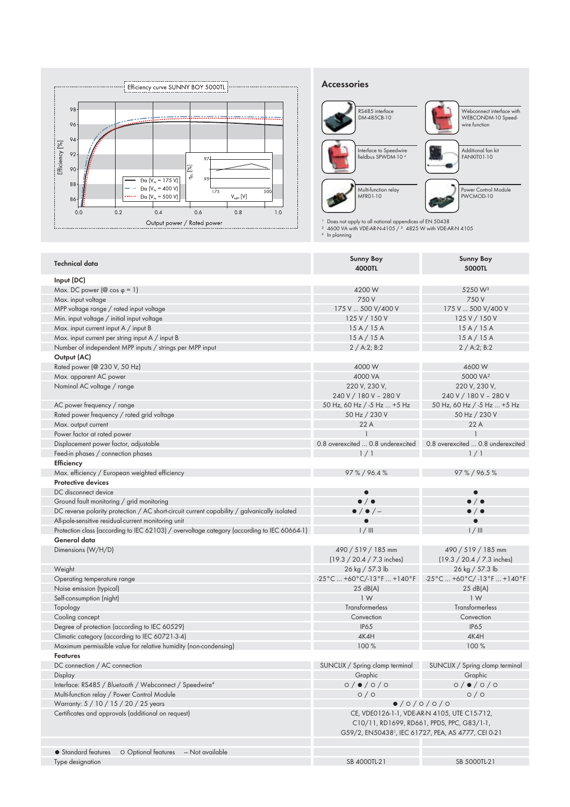

#### **Accessories**



1 Does not apply to all national appendices of EN 50438<br>2 4600 VA with VDE-AR-N-4105 / 3 4825 W with VDE-AR-N 4105<br>4 In planning

| <b>Technical data</b>                                                                        | <b>Sunny Boy</b><br>4000TL                              | <b>Sunny Boy</b><br>5000TL                                      |
|----------------------------------------------------------------------------------------------|---------------------------------------------------------|-----------------------------------------------------------------|
| Input (DC)                                                                                   |                                                         |                                                                 |
| Max. DC power ( $\circledcirc$ cos $\circledcirc$ = 1)                                       | 4200 W                                                  | 5250 W <sup>3</sup>                                             |
| Max. input voltage                                                                           | 750 V                                                   | 750 V                                                           |
| MPP voltage range / rated input voltage                                                      | 175 V  500 V/400 V                                      | 175 V  500 V/400 V                                              |
| Min. input voltage / initial input voltage                                                   | 125 V / 150 V                                           | 125 V / 150 V                                                   |
| Max. input current input A / input B                                                         | 15A/15A                                                 | 15A/15A                                                         |
| Max. input current per string input A / input B                                              | 15A/15A                                                 | 15A/15A                                                         |
| Number of independent MPP inputs / strings per MPP input                                     | 2 / A:2; B:2                                            | 2 / A:2; B:2                                                    |
| Output (AC)                                                                                  |                                                         |                                                                 |
| Rated power (@ 230 V, 50 Hz)                                                                 | 4000 W                                                  | 4600W                                                           |
| Max. apparent AC power                                                                       | 4000 VA                                                 | 5000 VA <sup>2</sup>                                            |
| Nominal AC voltage / range                                                                   | 220 V, 230 V,                                           | 220 V, 230 V,                                                   |
|                                                                                              | 240 V / 180 V - 280 V                                   | 240 V / 180 V - 280 V                                           |
| AC power frequency / range                                                                   | 50 Hz, 60 Hz / -5 Hz  +5 Hz                             | 50 Hz, 60 Hz / -5 Hz  +5 Hz                                     |
| Rated power frequency / rated grid voltage                                                   | 50 Hz / 230 V                                           | 50 Hz / 230 V                                                   |
| Max. output current                                                                          | 22A                                                     | 22 A                                                            |
| Power factor at rated power                                                                  |                                                         | $\mathbf{1}$                                                    |
|                                                                                              | 0.8 overexcited  0.8 underexcited                       | 0.8 overexcited  0.8 underexcited                               |
| Displacement power factor, adjustable                                                        |                                                         |                                                                 |
| Feed-in phases / connection phases                                                           | 1/1                                                     | 1/1                                                             |
| Efficiency                                                                                   |                                                         |                                                                 |
| Max. efficiency / European weighted efficiency                                               | 97%/96.4%                                               | 97%/96.5%                                                       |
| <b>Protective devices</b>                                                                    |                                                         |                                                                 |
| DC disconnect device                                                                         |                                                         | $\bullet$                                                       |
| Ground fault monitoring / grid monitoring                                                    | $\bullet$ / $\bullet$                                   | $\bullet$ / $\bullet$                                           |
| DC reverse polarity protection / AC short-circuit current capability / galvanically isolated | $\bullet$ / $\bullet$ / $-$                             | $\bullet$ / $\bullet$                                           |
| All-pole-sensitive residual-current monitoring unit                                          |                                                         | $\bullet$                                                       |
| Protection class (according to IEC 62103) / overvoltage category (according to IEC 60664-1)  | 1/111                                                   | 1/111                                                           |
| General data                                                                                 |                                                         |                                                                 |
| Dimensions (W/H/D)                                                                           | 490 / 519 / 185 mm                                      | 490 / 519 / 185 mm                                              |
|                                                                                              | $(19.3 / 20.4 / 7.3$ inches)                            | $(19.3 / 20.4 / 7.3$ inches)                                    |
| Weight                                                                                       | 26 kg / 57.3 lb                                         | 26 kg / 57.3 lb                                                 |
| Operating temperature range                                                                  | -25°C  +60°C/-13°F  +140°F   -25°C  +60°C/-13°F  +140°F |                                                                 |
| Noise emission (typical)                                                                     | 25 dB(A)                                                | 25 dB(A)                                                        |
| Self-consumption (night)                                                                     | 1W                                                      | 1W                                                              |
| Topology                                                                                     | Transformerless                                         | Transformerless                                                 |
| Cooling concept                                                                              | Convection                                              | Convection                                                      |
| Degree of protection (according to IEC 60529)                                                | <b>IP65</b>                                             | <b>IP65</b>                                                     |
| Climatic category (according to IEC 60721-3-4)                                               | 4K4H                                                    | 4K4H                                                            |
| Maximum permissible value for relative humidity (non-condensing)                             | 100 %                                                   | 100 %                                                           |
| <b>Features</b>                                                                              |                                                         |                                                                 |
| DC connection / AC connection                                                                | SUNCLIX / Spring clamp terminal                         | SUNCLIX / Spring clamp terminal                                 |
| Display                                                                                      | Graphic                                                 | Graphic                                                         |
| Interface: RS485 / Bluetooth / Webconnect / Speedwire <sup>4</sup>                           | $0/$ $($ $0/$ $)$                                       | $0/$ $($ $0/$ $)$                                               |
| Multi-function relay / Power Control Module                                                  | O/O                                                     | O/O                                                             |
| Warranty: 5 / 10 / 15 / 20 / 25 years                                                        | $\bullet$ /0/0/0/0                                      |                                                                 |
|                                                                                              | CE, VDE0126-1-1, VDE-AR-N 4105, UTE C15-712,            |                                                                 |
|                                                                                              | C10/11, RD1699, RD661, PPDS, PPC, G83/1-1,              |                                                                 |
| Certificates and approvals (additional on request)                                           |                                                         |                                                                 |
|                                                                                              |                                                         |                                                                 |
|                                                                                              |                                                         | G59/2, EN50438 <sup>1</sup> , IEC 61727, PEA, AS 4777, CEI 0-21 |
| • Standard features<br>O Optional features<br>- Not available                                |                                                         |                                                                 |